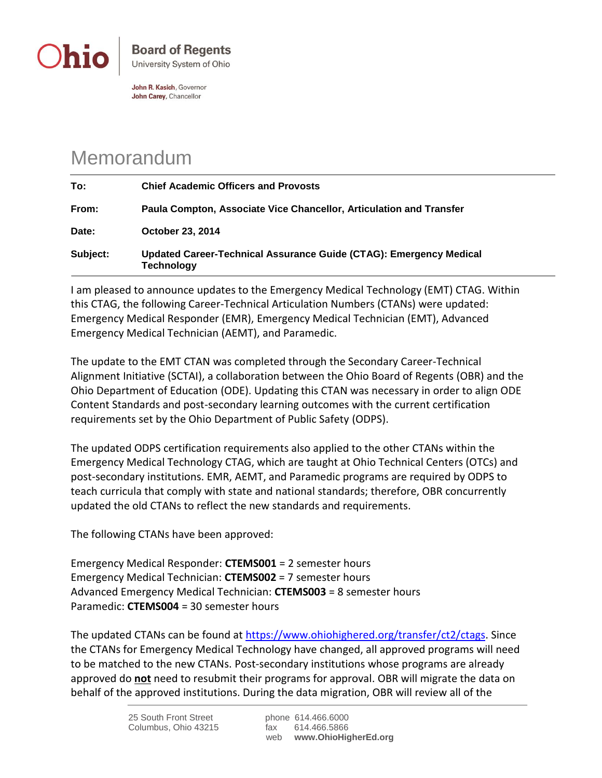

John R. Kasich, Governor John Carey, Chancellor

## Memorandum

| To:      | <b>Chief Academic Officers and Provosts</b>                                      |
|----------|----------------------------------------------------------------------------------|
| From:    | Paula Compton, Associate Vice Chancellor, Articulation and Transfer              |
| Date:    | <b>October 23, 2014</b>                                                          |
| Subject: | Updated Career-Technical Assurance Guide (CTAG): Emergency Medical<br>Technology |

I am pleased to announce updates to the Emergency Medical Technology (EMT) CTAG. Within this CTAG, the following Career-Technical Articulation Numbers (CTANs) were updated: Emergency Medical Responder (EMR), Emergency Medical Technician (EMT), Advanced Emergency Medical Technician (AEMT), and Paramedic.

The update to the EMT CTAN was completed through the Secondary Career-Technical Alignment Initiative (SCTAI), a collaboration between the Ohio Board of Regents (OBR) and the Ohio Department of Education (ODE). Updating this CTAN was necessary in order to align ODE Content Standards and post-secondary learning outcomes with the current certification requirements set by the Ohio Department of Public Safety (ODPS).

The updated ODPS certification requirements also applied to the other CTANs within the Emergency Medical Technology CTAG, which are taught at Ohio Technical Centers (OTCs) and post-secondary institutions. EMR, AEMT, and Paramedic programs are required by ODPS to teach curricula that comply with state and national standards; therefore, OBR concurrently updated the old CTANs to reflect the new standards and requirements.

The following CTANs have been approved:

Emergency Medical Responder: **CTEMS001** = 2 semester hours Emergency Medical Technician: **CTEMS002** = 7 semester hours Advanced Emergency Medical Technician: **CTEMS003** = 8 semester hours Paramedic: **CTEMS004** = 30 semester hours

The updated CTANs can be found at [https://www.ohiohighered.org/transfer/ct2/ctags.](https://www.ohiohighered.org/transfer/ct2/ctags) Since the CTANs for Emergency Medical Technology have changed, all approved programs will need to be matched to the new CTANs. Post-secondary institutions whose programs are already approved do **not** need to resubmit their programs for approval. OBR will migrate the data on behalf of the approved institutions. During the data migration, OBR will review all of the